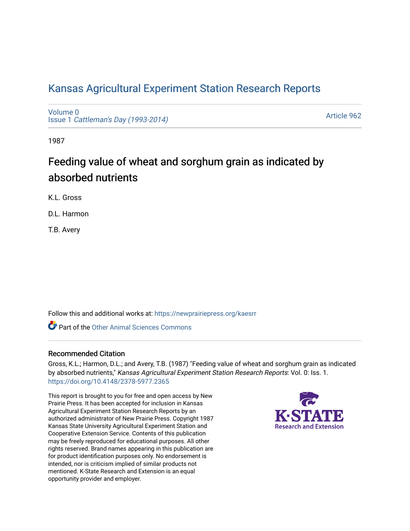## [Kansas Agricultural Experiment Station Research Reports](https://newprairiepress.org/kaesrr)

[Volume 0](https://newprairiepress.org/kaesrr/vol0) Issue 1 [Cattleman's Day \(1993-2014\)](https://newprairiepress.org/kaesrr/vol0/iss1) 

[Article 962](https://newprairiepress.org/kaesrr/vol0/iss1/962) 

1987

# Feeding value of wheat and sorghum grain as indicated by absorbed nutrients

K.L. Gross

D.L. Harmon

T.B. Avery

Follow this and additional works at: [https://newprairiepress.org/kaesrr](https://newprairiepress.org/kaesrr?utm_source=newprairiepress.org%2Fkaesrr%2Fvol0%2Fiss1%2F962&utm_medium=PDF&utm_campaign=PDFCoverPages) 

**C** Part of the [Other Animal Sciences Commons](http://network.bepress.com/hgg/discipline/82?utm_source=newprairiepress.org%2Fkaesrr%2Fvol0%2Fiss1%2F962&utm_medium=PDF&utm_campaign=PDFCoverPages)

#### Recommended Citation

Gross, K.L.; Harmon, D.L.; and Avery, T.B. (1987) "Feeding value of wheat and sorghum grain as indicated by absorbed nutrients," Kansas Agricultural Experiment Station Research Reports: Vol. 0: Iss. 1. <https://doi.org/10.4148/2378-5977.2365>

This report is brought to you for free and open access by New Prairie Press. It has been accepted for inclusion in Kansas Agricultural Experiment Station Research Reports by an authorized administrator of New Prairie Press. Copyright 1987 Kansas State University Agricultural Experiment Station and Cooperative Extension Service. Contents of this publication may be freely reproduced for educational purposes. All other rights reserved. Brand names appearing in this publication are for product identification purposes only. No endorsement is intended, nor is criticism implied of similar products not mentioned. K-State Research and Extension is an equal opportunity provider and employer.

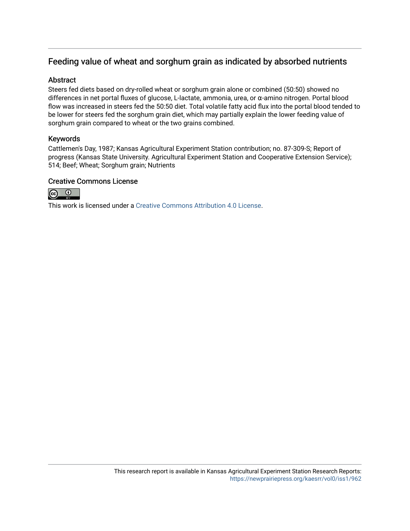### Feeding value of wheat and sorghum grain as indicated by absorbed nutrients

#### **Abstract**

Steers fed diets based on dry-rolled wheat or sorghum grain alone or combined (50:50) showed no differences in net portal fluxes of glucose, L-lactate, ammonia, urea, or α-amino nitrogen. Portal blood flow was increased in steers fed the 50:50 diet. Total volatile fatty acid flux into the portal blood tended to be lower for steers fed the sorghum grain diet, which may partially explain the lower feeding value of sorghum grain compared to wheat or the two grains combined.

#### Keywords

Cattlemen's Day, 1987; Kansas Agricultural Experiment Station contribution; no. 87-309-S; Report of progress (Kansas State University. Agricultural Experiment Station and Cooperative Extension Service); 514; Beef; Wheat; Sorghum grain; Nutrients

#### Creative Commons License



This work is licensed under a [Creative Commons Attribution 4.0 License](https://creativecommons.org/licenses/by/4.0/).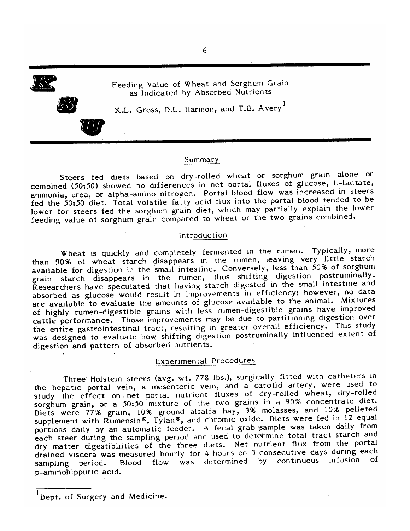

 $\mathcal{L}_{\mathcal{L}}$ 

Feeding Value of Wheat and Sorghum Grain as Indicated by Absorbed Nutrients

K.L. Gross, D.L. Harmon, and T.B. Avery<sup>1</sup>

#### Summary

Steers fed diets based on dry-rolled wheat or sorghum grain alone or combined (50:50) showed no differences in net portal fluxes of glucose, L-lactate, ammonia, urea, or alpha-amino nitrogen. Portal blood flow was increased in steers fed the 50:50 diet. Total volatile fatty acid flux into the portal blood tended to be lower for steers fed the sorghum grain diet, which may partially explain the lower feeding value of sorghum grain compared to wheat or the two grains combined.

#### Introduction

Wheat is quickly and completely fermented in the rumen. Typically, more than 90% of wheat starch disappears in the rumen, leaving very little starch available for digestion in the small intestine. Conversely, less than 50% of sorghum grain starch disappears in the rumen, thus shifting digestion postruminally. Researchers have speculated that having starch digested in the small intestine and absorbed as glucose would result in improvements in efficiency; however, no data are available to evaluate the amounts of glucose available to the animal. Mixtures of highly rumen-digestible grains with less rumen-digestible grains have improved cattle performance. Those improvements may be due to partitioning digestion over the entire gastrointestinal tract, resulting in greater overall efficiency. This study was designed to evaluate how shifting digestion postruminally influenced extent of digestion and pattern of absorbed nutrients.

#### **Experimental Procedures**

Three Holstein steers (avg. wt. 778 lbs.), surgically fitted with catheters in the hepatic portal vein, a mesenteric vein, and a carotid artery, were used to study the effect on net portal nutrient fluxes of dry-rolled wheat, dry-rolled sorghum grain, or a 50:50 mixture of the two grains in a 90% concentrate diet. Diets were 77% grain, 10% ground alfalfa hay, 3% molasses, and 10% pelleted supplement with Rumensin®, Tylan®, and chromic oxide. Diets were fed in 12 equal portions daily by an automatic feeder. A fecal grab sample was taken daily from each steer during the sampling period and used to determine total tract starch and dry matter digestibilities of the three diets. Net nutrient flux from the portal drained viscera was measured hourly for 4 hours on 3 consecutive days during each continuous infusion Blood flow was determined by of sampling period. p-aminohippuric acid.

Dept. of Surgery and Medicine.

6